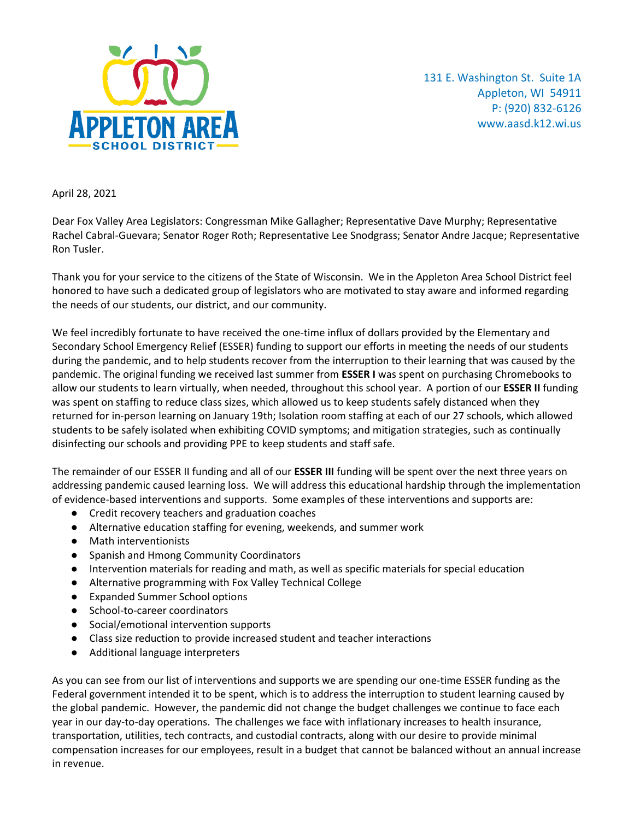

131 E. Washington St. Suite 1A Appleton, WI 54911 P: (920) 832-6126 [www.aasd.k12.wi.us](http://www.aasd.k12.wi.us/)

April 28, 2021

Dear Fox Valley Area Legislators: Congressman Mike Gallagher; Representative Dave Murphy; Representative Rachel Cabral-Guevara; Senator Roger Roth; Representative Lee Snodgrass; Senator Andre Jacque; Representative Ron Tusler.

Thank you for your service to the citizens of the State of Wisconsin. We in the Appleton Area School District feel honored to have such a dedicated group of legislators who are motivated to stay aware and informed regarding the needs of our students, our district, and our community.

We feel incredibly fortunate to have received the one-time influx of dollars provided by the Elementary and Secondary School Emergency Relief (ESSER) funding to support our efforts in meeting the needs of our students during the pandemic, and to help students recover from the interruption to their learning that was caused by the pandemic. The original funding we received last summer from **ESSER I** was spent on purchasing Chromebooks to allow our students to learn virtually, when needed, throughout this school year. A portion of our **ESSER II** funding was spent on staffing to reduce class sizes, which allowed us to keep students safely distanced when they returned for in-person learning on January 19th; Isolation room staffing at each of our 27 schools, which allowed students to be safely isolated when exhibiting COVID symptoms; and mitigation strategies, such as continually disinfecting our schools and providing PPE to keep students and staff safe.

The remainder of our ESSER II funding and all of our **ESSER III** funding will be spent over the next three years on addressing pandemic caused learning loss. We will address this educational hardship through the implementation of evidence-based interventions and supports. Some examples of these interventions and supports are:

- Credit recovery teachers and graduation coaches
- Alternative education staffing for evening, weekends, and summer work
- Math interventionists
- Spanish and Hmong Community Coordinators
- Intervention materials for reading and math, as well as specific materials for special education
- Alternative programming with Fox Valley Technical College
- Expanded Summer School options
- School-to-career coordinators
- Social/emotional intervention supports
- Class size reduction to provide increased student and teacher interactions
- Additional language interpreters

As you can see from our list of interventions and supports we are spending our one-time ESSER funding as the Federal government intended it to be spent, which is to address the interruption to student learning caused by the global pandemic. However, the pandemic did not change the budget challenges we continue to face each year in our day-to-day operations. The challenges we face with inflationary increases to health insurance, transportation, utilities, tech contracts, and custodial contracts, along with our desire to provide minimal compensation increases for our employees, result in a budget that cannot be balanced without an annual increase in revenue.